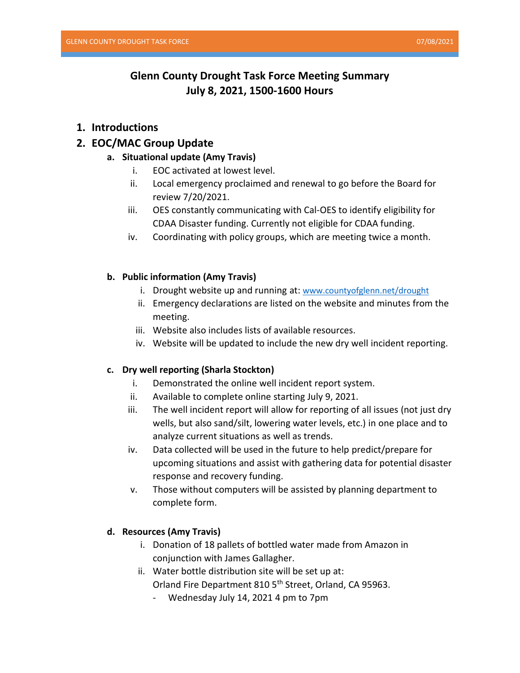# **Glenn County Drought Task Force Meeting Summary July 8, 2021, 1500-1600 Hours**

## **1. Introductions**

## **2. EOC/MAC Group Update**

## **a. Situational update (Amy Travis)**

- i. EOC activated at lowest level.
- ii. Local emergency proclaimed and renewal to go before the Board for review 7/20/2021.
- iii. OES constantly communicating with Cal-OES to identify eligibility for CDAA Disaster funding. Currently not eligible for CDAA funding.
- iv. Coordinating with policy groups, which are meeting twice a month.

### **b. Public information (Amy Travis)**

- i. Drought website up and running at: [www.countyofglenn.net/drought](http://www.countyofglenn.net/drought)
- ii. Emergency declarations are listed on the website and minutes from the meeting.
- iii. Website also includes lists of available resources.
- iv. Website will be updated to include the new dry well incident reporting.

### **c. Dry well reporting (Sharla Stockton)**

- i. Demonstrated the online well incident report system.
- ii. Available to complete online starting July 9, 2021.
- iii. The well incident report will allow for reporting of all issues (not just dry wells, but also sand/silt, lowering water levels, etc.) in one place and to analyze current situations as well as trends.
- iv. Data collected will be used in the future to help predict/prepare for upcoming situations and assist with gathering data for potential disaster response and recovery funding.
- v. Those without computers will be assisted by planning department to complete form.

### **d. Resources (Amy Travis)**

- i. Donation of 18 pallets of bottled water made from Amazon in conjunction with James Gallagher.
- ii. Water bottle distribution site will be set up at:

Orland Fire Department 810 5<sup>th</sup> Street, Orland, CA 95963.

- Wednesday July 14, 2021 4 pm to 7pm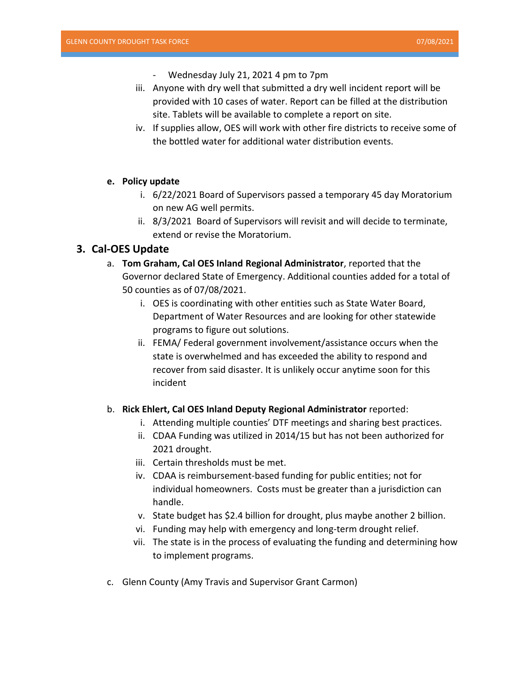- Wednesday July 21, 2021 4 pm to 7pm
- iii. Anyone with dry well that submitted a dry well incident report will be provided with 10 cases of water. Report can be filled at the distribution site. Tablets will be available to complete a report on site.
- iv. If supplies allow, OES will work with other fire districts to receive some of the bottled water for additional water distribution events.

### **e. Policy update**

- i. 6/22/2021 Board of Supervisors passed a temporary 45 day Moratorium on new AG well permits.
- ii. 8/3/2021 Board of Supervisors will revisit and will decide to terminate, extend or revise the Moratorium.

## **3. Cal-OES Update**

- a. **Tom Graham, Cal OES Inland Regional Administrator**, reported that the Governor declared State of Emergency. Additional counties added for a total of 50 counties as of 07/08/2021.
	- i. OES is coordinating with other entities such as State Water Board, Department of Water Resources and are looking for other statewide programs to figure out solutions.
	- ii. FEMA/ Federal government involvement/assistance occurs when the state is overwhelmed and has exceeded the ability to respond and recover from said disaster. It is unlikely occur anytime soon for this incident

#### b. **Rick Ehlert, Cal OES Inland Deputy Regional Administrator** reported:

- i. Attending multiple counties' DTF meetings and sharing best practices.
- ii. CDAA Funding was utilized in 2014/15 but has not been authorized for 2021 drought.
- iii. Certain thresholds must be met.
- iv. CDAA is reimbursement-based funding for public entities; not for individual homeowners. Costs must be greater than a jurisdiction can handle.
- v. State budget has \$2.4 billion for drought, plus maybe another 2 billion.
- vi. Funding may help with emergency and long-term drought relief.
- vii. The state is in the process of evaluating the funding and determining how to implement programs.
- c. Glenn County (Amy Travis and Supervisor Grant Carmon)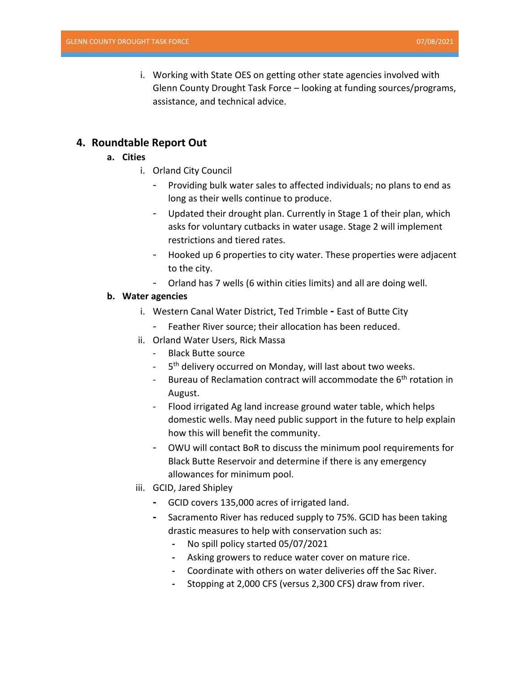i. Working with State OES on getting other state agencies involved with Glenn County Drought Task Force – looking at funding sources/programs, assistance, and technical advice.

## **4. Roundtable Report Out**

### **a. Cities**

- i. Orland City Council
	- Providing bulk water sales to affected individuals; no plans to end as long as their wells continue to produce.
	- Updated their drought plan. Currently in Stage 1 of their plan, which asks for voluntary cutbacks in water usage. Stage 2 will implement restrictions and tiered rates.
	- Hooked up 6 properties to city water. These properties were adjacent to the city.
	- Orland has 7 wells (6 within cities limits) and all are doing well.

### **b. Water agencies**

- i. Western Canal Water District, Ted Trimble **-** East of Butte City
	- Feather River source; their allocation has been reduced.
- ii. Orland Water Users, Rick Massa
	- Black Butte source
	- 5<sup>th</sup> delivery occurred on Monday, will last about two weeks.
	- Bureau of Reclamation contract will accommodate the 6<sup>th</sup> rotation in August.
	- Flood irrigated Ag land increase ground water table, which helps domestic wells. May need public support in the future to help explain how this will benefit the community.
	- OWU will contact BoR to discuss the minimum pool requirements for Black Butte Reservoir and determine if there is any emergency allowances for minimum pool.
- iii. GCID, Jared Shipley
	- **-** GCID covers 135,000 acres of irrigated land.
	- **-** Sacramento River has reduced supply to 75%. GCID has been taking drastic measures to help with conservation such as:
		- **-** No spill policy started 05/07/2021
		- **-** Asking growers to reduce water cover on mature rice.
		- **-** Coordinate with others on water deliveries off the Sac River.
		- **-** Stopping at 2,000 CFS (versus 2,300 CFS) draw from river.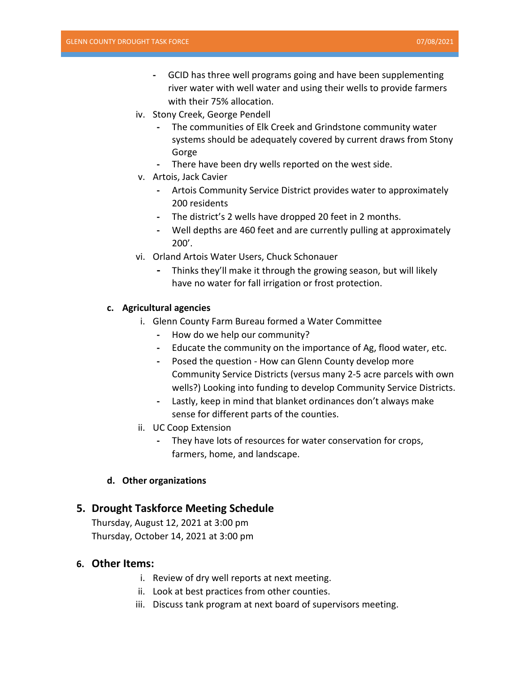- **-** GCID has three well programs going and have been supplementing river water with well water and using their wells to provide farmers with their 75% allocation.
- iv. Stony Creek, George Pendell
	- **-** The communities of Elk Creek and Grindstone community water systems should be adequately covered by current draws from Stony Gorge
	- **-** There have been dry wells reported on the west side.
- v. Artois, Jack Cavier
	- **-** Artois Community Service District provides water to approximately 200 residents
	- **-** The district's 2 wells have dropped 20 feet in 2 months.
	- **-** Well depths are 460 feet and are currently pulling at approximately 200'.
- vi. Orland Artois Water Users, Chuck Schonauer
	- **-** Thinks they'll make it through the growing season, but will likely have no water for fall irrigation or frost protection.

### **c. Agricultural agencies**

- i. Glenn County Farm Bureau formed a Water Committee
	- **-** How do we help our community?
	- **-** Educate the community on the importance of Ag, flood water, etc.
	- **-** Posed the question How can Glenn County develop more Community Service Districts (versus many 2-5 acre parcels with own wells?) Looking into funding to develop Community Service Districts.
	- **-** Lastly, keep in mind that blanket ordinances don't always make sense for different parts of the counties.
- ii. UC Coop Extension
	- **-** They have lots of resources for water conservation for crops, farmers, home, and landscape.

### **d. Other organizations**

## **5. Drought Taskforce Meeting Schedule**

Thursday, August 12, 2021 at 3:00 pm Thursday, October 14, 2021 at 3:00 pm

### **6. Other Items:**

- i. Review of dry well reports at next meeting.
- ii. Look at best practices from other counties.
- iii. Discuss tank program at next board of supervisors meeting.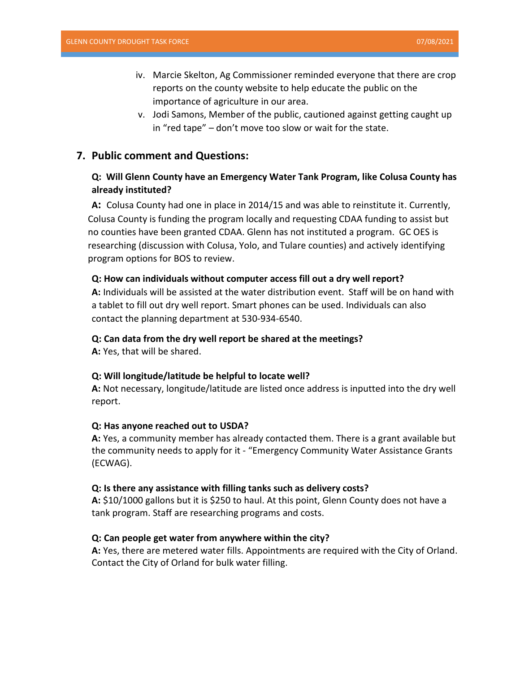- iv. Marcie Skelton, Ag Commissioner reminded everyone that there are crop reports on the county website to help educate the public on the importance of agriculture in our area.
- v. Jodi Samons, Member of the public, cautioned against getting caught up in "red tape" – don't move too slow or wait for the state.

## **7. Public comment and Questions:**

## **Q: Will Glenn County have an Emergency Water Tank Program, like Colusa County has already instituted?**

**A:** Colusa County had one in place in 2014/15 and was able to reinstitute it. Currently, Colusa County is funding the program locally and requesting CDAA funding to assist but no counties have been granted CDAA. Glenn has not instituted a program. GC OES is researching (discussion with Colusa, Yolo, and Tulare counties) and actively identifying program options for BOS to review.

#### **Q: How can individuals without computer access fill out a dry well report?**

**A:** Individuals will be assisted at the water distribution event. Staff will be on hand with a tablet to fill out dry well report. Smart phones can be used. Individuals can also contact the planning department at 530-934-6540.

#### **Q: Can data from the dry well report be shared at the meetings?**

**A:** Yes, that will be shared.

#### **Q: Will longitude/latitude be helpful to locate well?**

**A:** Not necessary, longitude/latitude are listed once address is inputted into the dry well report.

#### **Q: Has anyone reached out to USDA?**

**A:** Yes, a community member has already contacted them. There is a grant available but the community needs to apply for it - "Emergency Community Water Assistance Grants (ECWAG).

#### **Q: Is there any assistance with filling tanks such as delivery costs?**

**A:** \$10/1000 gallons but it is \$250 to haul. At this point, Glenn County does not have a tank program. Staff are researching programs and costs.

#### **Q: Can people get water from anywhere within the city?**

**A:** Yes, there are metered water fills. Appointments are required with the City of Orland. Contact the City of Orland for bulk water filling.